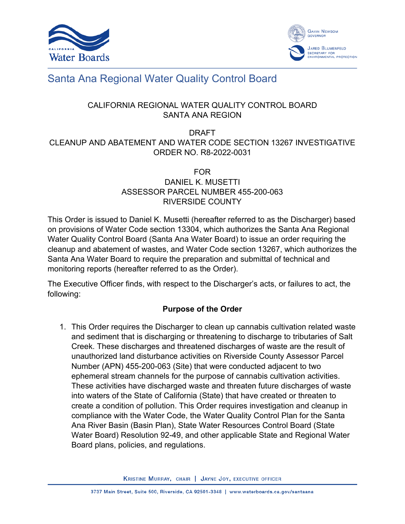



# Santa Ana Regional Water Quality Control Board

# CALIFORNIA REGIONAL WATER QUALITY CONTROL BOARD SANTA ANA REGION

# DRAFT CLEANUP AND ABATEMENT AND WATER CODE SECTION 13267 INVESTIGATIVE ORDER NO. R8-2022-0031

### FOR DANIEL K. MUSETTI ASSESSOR PARCEL NUMBER 455-200-063 RIVERSIDE COUNTY

This Order is issued to Daniel K. Musetti (hereafter referred to as the Discharger) based on provisions of Water Code section 13304, which authorizes the Santa Ana Regional Water Quality Control Board (Santa Ana Water Board) to issue an order requiring the cleanup and abatement of wastes, and Water Code section 13267, which authorizes the Santa Ana Water Board to require the preparation and submittal of technical and monitoring reports (hereafter referred to as the Order).

The Executive Officer finds, with respect to the Discharger's acts, or failures to act, the following:

## **Purpose of the Order**

1. This Order requires the Discharger to clean up cannabis cultivation related waste and sediment that is discharging or threatening to discharge to tributaries of Salt Creek. These discharges and threatened discharges of waste are the result of unauthorized land disturbance activities on Riverside County Assessor Parcel Number (APN) 455-200-063 (Site) that were conducted adjacent to two ephemeral stream channels for the purpose of cannabis cultivation activities. These activities have discharged waste and threaten future discharges of waste into waters of the State of California (State) that have created or threaten to create a condition of pollution. This Order requires investigation and cleanup in compliance with the Water Code, the Water Quality Control Plan for the Santa Ana River Basin (Basin Plan), State Water Resources Control Board (State Water Board) Resolution 92-49, and other applicable State and Regional Water Board plans, policies, and regulations.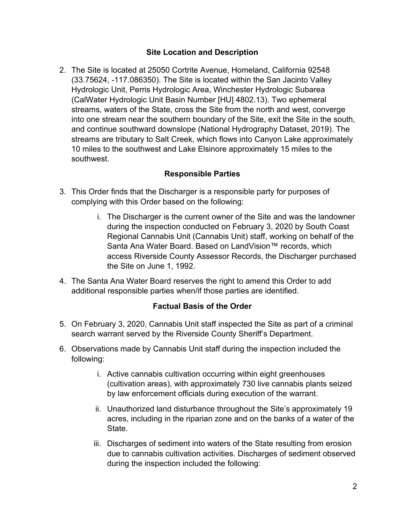#### **Site Location and Description**

2. The Site is located at 25050 Cortrite Avenue, Homeland, California 92548 (33.75624, -117.086350). The Site is located within the San Jacinto Valley Hydrologic Unit, Perris Hydrologic Area, Winchester Hydrologic Subarea (CalWater Hydrologic Unit Basin Number [HU] 4802.13). Two ephemeral streams, waters of the State, cross the Site from the north and west, converge into one stream near the southern boundary of the Site, exit the Site in the south, and continue southward downslope (National Hydrography Dataset, 2019). The streams are tributary to Salt Creek, which flows into Canyon Lake approximately 10 miles to the southwest and Lake Elsinore approximately 15 miles to the southwest.

#### **Responsible Parties**

- 3. This Order finds that the Discharger is a responsible party for purposes of complying with this Order based on the following:
	- i. The Discharger is the current owner of the Site and was the landowner during the inspection conducted on February 3, 2020 by South Coast Regional Cannabis Unit (Cannabis Unit) staff, working on behalf of the Santa Ana Water Board. Based on LandVision™ records, which access Riverside County Assessor Records, the Discharger purchased the Site on June 1, 1992.
- 4. The Santa Ana Water Board reserves the right to amend this Order to add additional responsible parties when/if those parties are identified.

#### **Factual Basis of the Order**

- 5. On February 3, 2020, Cannabis Unit staff inspected the Site as part of a criminal search warrant served by the Riverside County Sheriff's Department.
- 6. Observations made by Cannabis Unit staff during the inspection included the following:
	- i. Active cannabis cultivation occurring within eight greenhouses (cultivation areas), with approximately 730 live cannabis plants seized by law enforcement officials during execution of the warrant.
	- ii. Unauthorized land disturbance throughout the Site's approximately 19 acres, including in the riparian zone and on the banks of a water of the State.
	- iii. Discharges of sediment into waters of the State resulting from erosion due to cannabis cultivation activities. Discharges of sediment observed during the inspection included the following: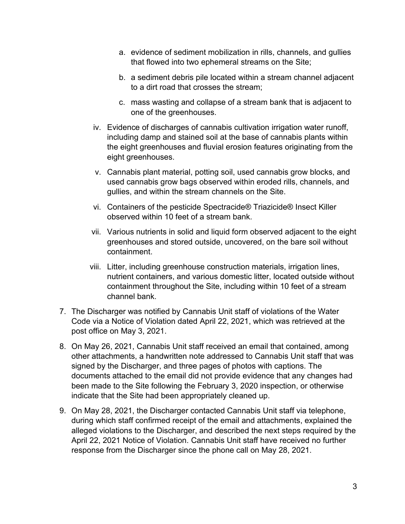- a. evidence of sediment mobilization in rills, channels, and gullies that flowed into two ephemeral streams on the Site;
- b. a sediment debris pile located within a stream channel adjacent to a dirt road that crosses the stream;
- c. mass wasting and collapse of a stream bank that is adjacent to one of the greenhouses.
- iv. Evidence of discharges of cannabis cultivation irrigation water runoff, including damp and stained soil at the base of cannabis plants within the eight greenhouses and fluvial erosion features originating from the eight greenhouses.
- v. Cannabis plant material, potting soil, used cannabis grow blocks, and used cannabis grow bags observed within eroded rills, channels, and gullies, and within the stream channels on the Site.
- vi. Containers of the pesticide Spectracide® Triazicide® Insect Killer observed within 10 feet of a stream bank.
- vii. Various nutrients in solid and liquid form observed adjacent to the eight greenhouses and stored outside, uncovered, on the bare soil without containment.
- viii. Litter, including greenhouse construction materials, irrigation lines, nutrient containers, and various domestic litter, located outside without containment throughout the Site, including within 10 feet of a stream channel bank.
- 7. The Discharger was notified by Cannabis Unit staff of violations of the Water Code via a Notice of Violation dated April 22, 2021, which was retrieved at the post office on May 3, 2021.
- 8. On May 26, 2021, Cannabis Unit staff received an email that contained, among other attachments, a handwritten note addressed to Cannabis Unit staff that was signed by the Discharger, and three pages of photos with captions. The documents attached to the email did not provide evidence that any changes had been made to the Site following the February 3, 2020 inspection, or otherwise indicate that the Site had been appropriately cleaned up.
- 9. On May 28, 2021, the Discharger contacted Cannabis Unit staff via telephone, during which staff confirmed receipt of the email and attachments, explained the alleged violations to the Discharger, and described the next steps required by the April 22, 2021 Notice of Violation. Cannabis Unit staff have received no further response from the Discharger since the phone call on May 28, 2021.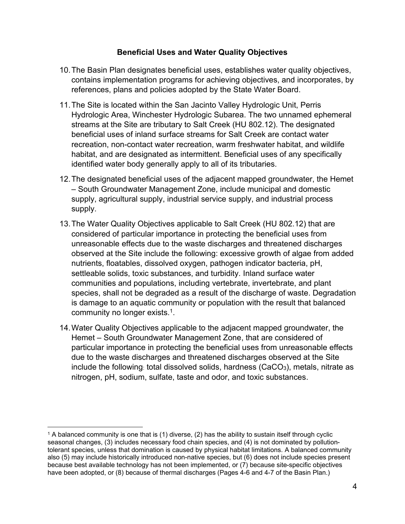#### **Beneficial Uses and Water Quality Objectives**

- 10.The Basin Plan designates beneficial uses, establishes water quality objectives, contains implementation programs for achieving objectives, and incorporates, by references, plans and policies adopted by the State Water Board.
- 11.The Site is located within the San Jacinto Valley Hydrologic Unit, Perris Hydrologic Area, Winchester Hydrologic Subarea. The two unnamed ephemeral streams at the Site are tributary to Salt Creek (HU 802.12). The designated beneficial uses of inland surface streams for Salt Creek are contact water recreation, non-contact water recreation, warm freshwater habitat, and wildlife habitat, and are designated as intermittent. Beneficial uses of any specifically identified water body generally apply to all of its tributaries.
- 12.The designated beneficial uses of the adjacent mapped groundwater, the Hemet – South Groundwater Management Zone, include municipal and domestic supply, agricultural supply, industrial service supply, and industrial process supply.
- 13.The Water Quality Objectives applicable to Salt Creek (HU 802.12) that are considered of particular importance in protecting the beneficial uses from unreasonable effects due to the waste discharges and threatened discharges observed at the Site include the following: excessive growth of algae from added nutrients, floatables, dissolved oxygen, pathogen indicator bacteria, pH, settleable solids, toxic substances, and turbidity. Inland surface water communities and populations, including vertebrate, invertebrate, and plant species, shall not be degraded as a result of the discharge of waste. Degradation is damage to an aquatic community or population with the result that balanced community no longer exists.<sup>[1](#page-3-0)</sup>.
- 14.Water Quality Objectives applicable to the adjacent mapped groundwater, the Hemet – South Groundwater Management Zone, that are considered of particular importance in protecting the beneficial uses from unreasonable effects due to the waste discharges and threatened discharges observed at the Site include the following: total dissolved solids, hardness  $(CaCO<sub>3</sub>)$ , metals, nitrate as nitrogen, pH, sodium, sulfate, taste and odor, and toxic substances.

<span id="page-3-0"></span><sup>1</sup> A balanced community is one that is (1) diverse, (2) has the ability to sustain itself through cyclic seasonal changes, (3) includes necessary food chain species, and (4) is not dominated by pollutiontolerant species, unless that domination is caused by physical habitat limitations. A balanced community also (5) may include historically introduced non-native species, but (6) does not include species present because best available technology has not been implemented, or (7) because site-specific objectives have been adopted, or (8) because of thermal discharges (Pages 4-6 and 4-7 of the Basin Plan.)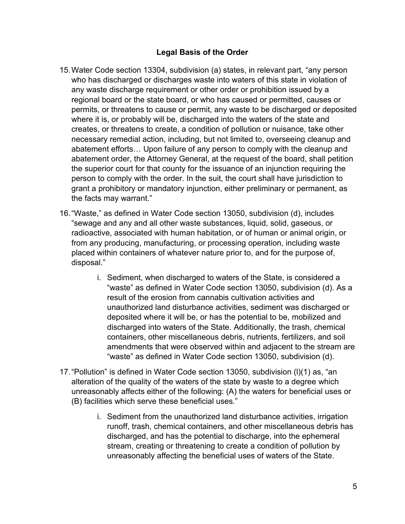### **Legal Basis of the Order**

- 15.Water Code section 13304, subdivision (a) states, in relevant part, "any person who has discharged or discharges waste into waters of this state in violation of any waste discharge requirement or other order or prohibition issued by a regional board or the state board, or who has caused or permitted, causes or permits, or threatens to cause or permit, any waste to be discharged or deposited where it is, or probably will be, discharged into the waters of the state and creates, or threatens to create, a condition of pollution or nuisance, take other necessary remedial action, including, but not limited to, overseeing cleanup and abatement efforts… Upon failure of any person to comply with the cleanup and abatement order, the Attorney General, at the request of the board, shall petition the superior court for that county for the issuance of an injunction requiring the person to comply with the order. In the suit, the court shall have jurisdiction to grant a prohibitory or mandatory injunction, either preliminary or permanent, as the facts may warrant."
- 16."Waste," as defined in Water Code section 13050, subdivision (d), includes "sewage and any and all other waste substances, liquid, solid, gaseous, or radioactive, associated with human habitation, or of human or animal origin, or from any producing, manufacturing, or processing operation, including waste placed within containers of whatever nature prior to, and for the purpose of, disposal."
	- i. Sediment, when discharged to waters of the State, is considered a "waste" as defined in Water Code section 13050, subdivision (d). As a result of the erosion from cannabis cultivation activities and unauthorized land disturbance activities, sediment was discharged or deposited where it will be, or has the potential to be, mobilized and discharged into waters of the State. Additionally, the trash, chemical containers, other miscellaneous debris, nutrients, fertilizers, and soil amendments that were observed within and adjacent to the stream are "waste" as defined in Water Code section 13050, subdivision (d).
- 17."Pollution" is defined in Water Code section 13050, subdivision (l)(1) as, "an alteration of the quality of the waters of the state by waste to a degree which unreasonably affects either of the following: (A) the waters for beneficial uses or (B) facilities which serve these beneficial uses."
	- i. Sediment from the unauthorized land disturbance activities, irrigation runoff, trash, chemical containers, and other miscellaneous debris has discharged, and has the potential to discharge, into the ephemeral stream, creating or threatening to create a condition of pollution by unreasonably affecting the beneficial uses of waters of the State.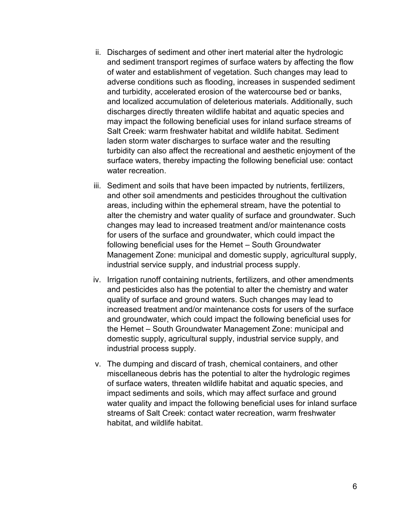- ii. Discharges of sediment and other inert material alter the hydrologic and sediment transport regimes of surface waters by affecting the flow of water and establishment of vegetation. Such changes may lead to adverse conditions such as flooding, increases in suspended sediment and turbidity, accelerated erosion of the watercourse bed or banks, and localized accumulation of deleterious materials. Additionally, such discharges directly threaten wildlife habitat and aquatic species and may impact the following beneficial uses for inland surface streams of Salt Creek: warm freshwater habitat and wildlife habitat. Sediment laden storm water discharges to surface water and the resulting turbidity can also affect the recreational and aesthetic enjoyment of the surface waters, thereby impacting the following beneficial use: contact water recreation.
- iii. Sediment and soils that have been impacted by nutrients, fertilizers, and other soil amendments and pesticides throughout the cultivation areas, including within the ephemeral stream, have the potential to alter the chemistry and water quality of surface and groundwater. Such changes may lead to increased treatment and/or maintenance costs for users of the surface and groundwater, which could impact the following beneficial uses for the Hemet – South Groundwater Management Zone: municipal and domestic supply, agricultural supply, industrial service supply, and industrial process supply.
- iv. Irrigation runoff containing nutrients, fertilizers, and other amendments and pesticides also has the potential to alter the chemistry and water quality of surface and ground waters. Such changes may lead to increased treatment and/or maintenance costs for users of the surface and groundwater, which could impact the following beneficial uses for the Hemet – South Groundwater Management Zone: municipal and domestic supply, agricultural supply, industrial service supply, and industrial process supply.
- v. The dumping and discard of trash, chemical containers, and other miscellaneous debris has the potential to alter the hydrologic regimes of surface waters, threaten wildlife habitat and aquatic species, and impact sediments and soils, which may affect surface and ground water quality and impact the following beneficial uses for inland surface streams of Salt Creek: contact water recreation, warm freshwater habitat, and wildlife habitat.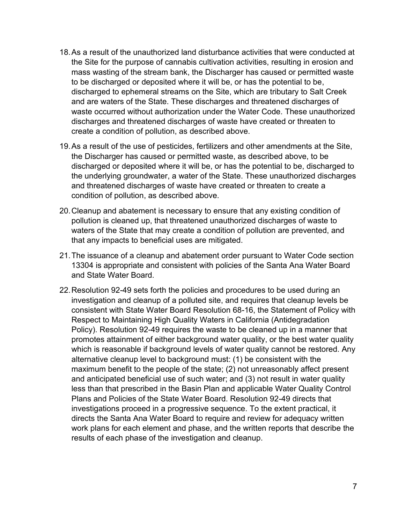- 18.As a result of the unauthorized land disturbance activities that were conducted at the Site for the purpose of cannabis cultivation activities, resulting in erosion and mass wasting of the stream bank, the Discharger has caused or permitted waste to be discharged or deposited where it will be, or has the potential to be, discharged to ephemeral streams on the Site, which are tributary to Salt Creek and are waters of the State. These discharges and threatened discharges of waste occurred without authorization under the Water Code. These unauthorized discharges and threatened discharges of waste have created or threaten to create a condition of pollution, as described above.
- 19.As a result of the use of pesticides, fertilizers and other amendments at the Site, the Discharger has caused or permitted waste, as described above, to be discharged or deposited where it will be, or has the potential to be, discharged to the underlying groundwater, a water of the State. These unauthorized discharges and threatened discharges of waste have created or threaten to create a condition of pollution, as described above.
- 20.Cleanup and abatement is necessary to ensure that any existing condition of pollution is cleaned up, that threatened unauthorized discharges of waste to waters of the State that may create a condition of pollution are prevented, and that any impacts to beneficial uses are mitigated.
- 21.The issuance of a cleanup and abatement order pursuant to Water Code section 13304 is appropriate and consistent with policies of the Santa Ana Water Board and State Water Board.
- 22.Resolution 92-49 sets forth the policies and procedures to be used during an investigation and cleanup of a polluted site, and requires that cleanup levels be consistent with State Water Board Resolution 68-16, the Statement of Policy with Respect to Maintaining High Quality Waters in California (Antidegradation Policy). Resolution 92-49 requires the waste to be cleaned up in a manner that promotes attainment of either background water quality, or the best water quality which is reasonable if background levels of water quality cannot be restored. Any alternative cleanup level to background must: (1) be consistent with the maximum benefit to the people of the state; (2) not unreasonably affect present and anticipated beneficial use of such water; and (3) not result in water quality less than that prescribed in the Basin Plan and applicable Water Quality Control Plans and Policies of the State Water Board. Resolution 92-49 directs that investigations proceed in a progressive sequence. To the extent practical, it directs the Santa Ana Water Board to require and review for adequacy written work plans for each element and phase, and the written reports that describe the results of each phase of the investigation and cleanup.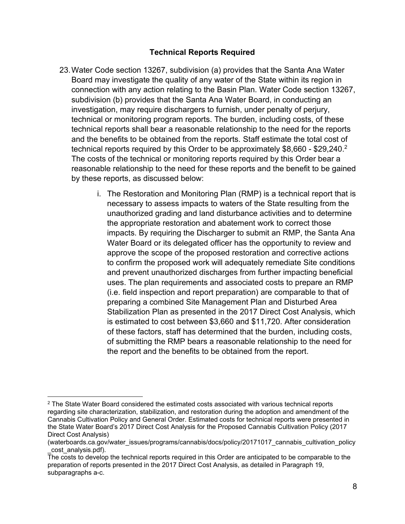#### **Technical Reports Required**

- 23.Water Code section 13267, subdivision (a) provides that the Santa Ana Water Board may investigate the quality of any water of the State within its region in connection with any action relating to the Basin Plan. Water Code section 13267, subdivision (b) provides that the Santa Ana Water Board, in conducting an investigation, may require dischargers to furnish, under penalty of perjury, technical or monitoring program reports. The burden, including costs, of these technical reports shall bear a reasonable relationship to the need for the reports and the benefits to be obtained from the reports. Staff estimate the total cost of technical reports required by this Order to be approximately  $\$8,\!660$  -  $\$29,\!240.^2$  $\$29,\!240.^2$  $\$29,\!240.^2$ The costs of the technical or monitoring reports required by this Order bear a reasonable relationship to the need for these reports and the benefit to be gained by these reports, as discussed below:
	- i. The Restoration and Monitoring Plan (RMP) is a technical report that is necessary to assess impacts to waters of the State resulting from the unauthorized grading and land disturbance activities and to determine the appropriate restoration and abatement work to correct those impacts. By requiring the Discharger to submit an RMP, the Santa Ana Water Board or its delegated officer has the opportunity to review and approve the scope of the proposed restoration and corrective actions to confirm the proposed work will adequately remediate Site conditions and prevent unauthorized discharges from further impacting beneficial uses. The plan requirements and associated costs to prepare an RMP (i.e. field inspection and report preparation) are comparable to that of preparing a combined Site Management Plan and Disturbed Area Stabilization Plan as presented in the 2017 Direct Cost Analysis, which is estimated to cost between \$3,660 and \$11,720. After consideration of these factors, staff has determined that the burden, including costs, of submitting the RMP bears a reasonable relationship to the need for the report and the benefits to be obtained from the report.

<span id="page-7-0"></span><sup>&</sup>lt;sup>2</sup> The State Water Board considered the estimated costs associated with various technical reports regarding site characterization, stabilization, and restoration during the adoption and amendment of the Cannabis Cultivation Policy and General Order. Estimated costs for technical reports were presented in the State Water Board's 2017 Direct Cost Analysis for the Proposed Cannabis Cultivation Policy (2017 Direct Cost Analysis)

<sup>(</sup>waterboards.ca.gov/water\_issues/programs/cannabis/docs/policy/20171017\_cannabis\_cultivation\_policy cost\_analysis.pdf).

The costs to develop the technical reports required in this Order are anticipated to be comparable to the preparation of reports presented in the 2017 Direct Cost Analysis, as detailed in Paragraph 19, subparagraphs a-c.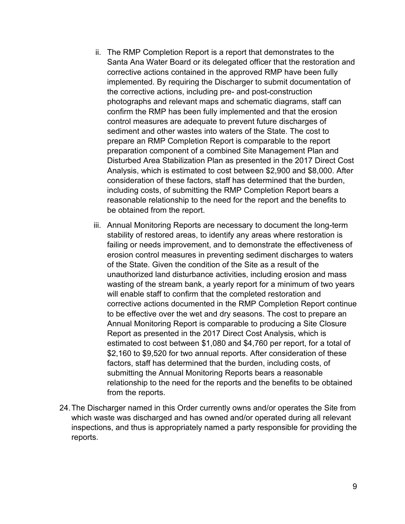- ii. The RMP Completion Report is a report that demonstrates to the Santa Ana Water Board or its delegated officer that the restoration and corrective actions contained in the approved RMP have been fully implemented. By requiring the Discharger to submit documentation of the corrective actions, including pre- and post-construction photographs and relevant maps and schematic diagrams, staff can confirm the RMP has been fully implemented and that the erosion control measures are adequate to prevent future discharges of sediment and other wastes into waters of the State. The cost to prepare an RMP Completion Report is comparable to the report preparation component of a combined Site Management Plan and Disturbed Area Stabilization Plan as presented in the 2017 Direct Cost Analysis, which is estimated to cost between \$2,900 and \$8,000. After consideration of these factors, staff has determined that the burden, including costs, of submitting the RMP Completion Report bears a reasonable relationship to the need for the report and the benefits to be obtained from the report.
- iii. Annual Monitoring Reports are necessary to document the long-term stability of restored areas, to identify any areas where restoration is failing or needs improvement, and to demonstrate the effectiveness of erosion control measures in preventing sediment discharges to waters of the State. Given the condition of the Site as a result of the unauthorized land disturbance activities, including erosion and mass wasting of the stream bank, a yearly report for a minimum of two years will enable staff to confirm that the completed restoration and corrective actions documented in the RMP Completion Report continue to be effective over the wet and dry seasons. The cost to prepare an Annual Monitoring Report is comparable to producing a Site Closure Report as presented in the 2017 Direct Cost Analysis, which is estimated to cost between \$1,080 and \$4,760 per report, for a total of \$2,160 to \$9,520 for two annual reports. After consideration of these factors, staff has determined that the burden, including costs, of submitting the Annual Monitoring Reports bears a reasonable relationship to the need for the reports and the benefits to be obtained from the reports.
- 24.The Discharger named in this Order currently owns and/or operates the Site from which waste was discharged and has owned and/or operated during all relevant inspections, and thus is appropriately named a party responsible for providing the reports.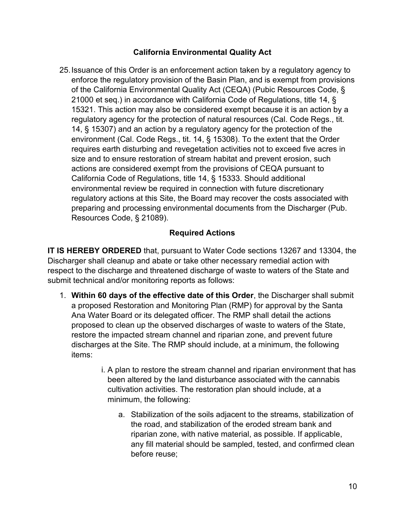# **California Environmental Quality Act**

25.Issuance of this Order is an enforcement action taken by a regulatory agency to enforce the regulatory provision of the Basin Plan, and is exempt from provisions of the California Environmental Quality Act (CEQA) (Pubic Resources Code, § 21000 et seq.) in accordance with California Code of Regulations, title 14, § 15321. This action may also be considered exempt because it is an action by a regulatory agency for the protection of natural resources (Cal. Code Regs., tit. 14, § 15307) and an action by a regulatory agency for the protection of the environment (Cal. Code Regs., tit. 14, § 15308). To the extent that the Order requires earth disturbing and revegetation activities not to exceed five acres in size and to ensure restoration of stream habitat and prevent erosion, such actions are considered exempt from the provisions of CEQA pursuant to California Code of Regulations, title 14, § 15333. Should additional environmental review be required in connection with future discretionary regulatory actions at this Site, the Board may recover the costs associated with preparing and processing environmental documents from the Discharger (Pub. Resources Code, § 21089).

# **Required Actions**

**IT IS HEREBY ORDERED** that, pursuant to Water Code sections 13267 and 13304, the Discharger shall cleanup and abate or take other necessary remedial action with respect to the discharge and threatened discharge of waste to waters of the State and submit technical and/or monitoring reports as follows:

- 1. **Within 60 days of the effective date of this Order**, the Discharger shall submit a proposed Restoration and Monitoring Plan (RMP) for approval by the Santa Ana Water Board or its delegated officer. The RMP shall detail the actions proposed to clean up the observed discharges of waste to waters of the State, restore the impacted stream channel and riparian zone, and prevent future discharges at the Site. The RMP should include, at a minimum, the following items:
	- i. A plan to restore the stream channel and riparian environment that has been altered by the land disturbance associated with the cannabis cultivation activities. The restoration plan should include, at a minimum, the following:
		- a. Stabilization of the soils adjacent to the streams, stabilization of the road, and stabilization of the eroded stream bank and riparian zone, with native material, as possible. If applicable, any fill material should be sampled, tested, and confirmed clean before reuse;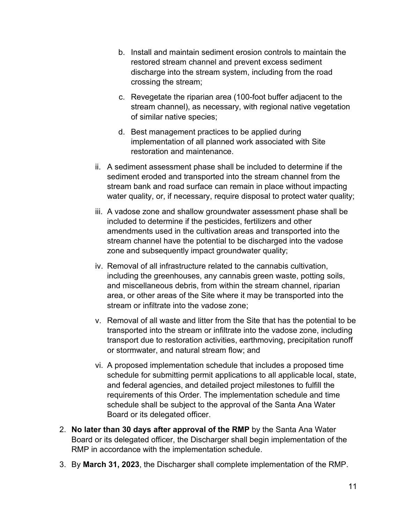- b. Install and maintain sediment erosion controls to maintain the restored stream channel and prevent excess sediment discharge into the stream system, including from the road crossing the stream;
- c. Revegetate the riparian area (100-foot buffer adjacent to the stream channel), as necessary, with regional native vegetation of similar native species;
- d. Best management practices to be applied during implementation of all planned work associated with Site restoration and maintenance.
- ii. A sediment assessment phase shall be included to determine if the sediment eroded and transported into the stream channel from the stream bank and road surface can remain in place without impacting water quality, or, if necessary, require disposal to protect water quality;
- iii. A vadose zone and shallow groundwater assessment phase shall be included to determine if the pesticides, fertilizers and other amendments used in the cultivation areas and transported into the stream channel have the potential to be discharged into the vadose zone and subsequently impact groundwater quality;
- iv. Removal of all infrastructure related to the cannabis cultivation, including the greenhouses, any cannabis green waste, potting soils, and miscellaneous debris, from within the stream channel, riparian area, or other areas of the Site where it may be transported into the stream or infiltrate into the vadose zone;
- v. Removal of all waste and litter from the Site that has the potential to be transported into the stream or infiltrate into the vadose zone, including transport due to restoration activities, earthmoving, precipitation runoff or stormwater, and natural stream flow; and
- vi. A proposed implementation schedule that includes a proposed time schedule for submitting permit applications to all applicable local, state, and federal agencies, and detailed project milestones to fulfill the requirements of this Order. The implementation schedule and time schedule shall be subject to the approval of the Santa Ana Water Board or its delegated officer.
- 2. **No later than 30 days after approval of the RMP** by the Santa Ana Water Board or its delegated officer, the Discharger shall begin implementation of the RMP in accordance with the implementation schedule.
- 3. By **March 31, 2023**, the Discharger shall complete implementation of the RMP.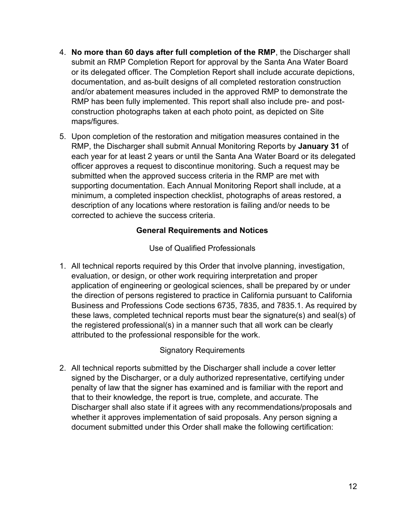- 4. **No more than 60 days after full completion of the RMP**, the Discharger shall submit an RMP Completion Report for approval by the Santa Ana Water Board or its delegated officer. The Completion Report shall include accurate depictions, documentation, and as-built designs of all completed restoration construction and/or abatement measures included in the approved RMP to demonstrate the RMP has been fully implemented. This report shall also include pre- and postconstruction photographs taken at each photo point, as depicted on Site maps/figures.
- 5. Upon completion of the restoration and mitigation measures contained in the RMP, the Discharger shall submit Annual Monitoring Reports by **January 31** of each year for at least 2 years or until the Santa Ana Water Board or its delegated officer approves a request to discontinue monitoring. Such a request may be submitted when the approved success criteria in the RMP are met with supporting documentation. Each Annual Monitoring Report shall include, at a minimum, a completed inspection checklist, photographs of areas restored, a description of any locations where restoration is failing and/or needs to be corrected to achieve the success criteria.

## **General Requirements and Notices**

Use of Qualified Professionals

1. All technical reports required by this Order that involve planning, investigation, evaluation, or design, or other work requiring interpretation and proper application of engineering or geological sciences, shall be prepared by or under the direction of persons registered to practice in California pursuant to California Business and Professions Code sections 6735, 7835, and 7835.1. As required by these laws, completed technical reports must bear the signature(s) and seal(s) of the registered professional(s) in a manner such that all work can be clearly attributed to the professional responsible for the work.

#### Signatory Requirements

2. All technical reports submitted by the Discharger shall include a cover letter signed by the Discharger, or a duly authorized representative, certifying under penalty of law that the signer has examined and is familiar with the report and that to their knowledge, the report is true, complete, and accurate. The Discharger shall also state if it agrees with any recommendations/proposals and whether it approves implementation of said proposals. Any person signing a document submitted under this Order shall make the following certification: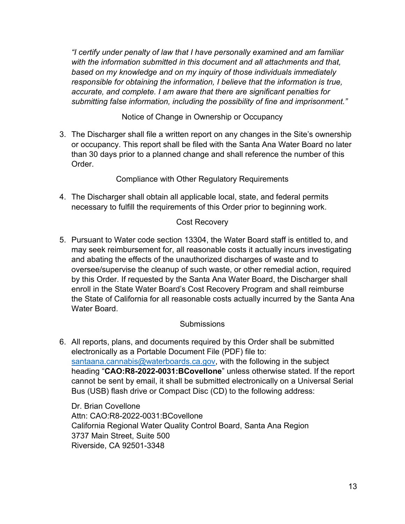*"I certify under penalty of law that I have personally examined and am familiar with the information submitted in this document and all attachments and that, based on my knowledge and on my inquiry of those individuals immediately responsible for obtaining the information, I believe that the information is true, accurate, and complete. I am aware that there are significant penalties for submitting false information, including the possibility of fine and imprisonment."*

Notice of Change in Ownership or Occupancy

3. The Discharger shall file a written report on any changes in the Site's ownership or occupancy. This report shall be filed with the Santa Ana Water Board no later than 30 days prior to a planned change and shall reference the number of this **Order** 

Compliance with Other Regulatory Requirements

4. The Discharger shall obtain all applicable local, state, and federal permits necessary to fulfill the requirements of this Order prior to beginning work.

#### Cost Recovery

5. Pursuant to Water code section 13304, the Water Board staff is entitled to, and may seek reimbursement for, all reasonable costs it actually incurs investigating and abating the effects of the unauthorized discharges of waste and to oversee/supervise the cleanup of such waste, or other remedial action, required by this Order. If requested by the Santa Ana Water Board, the Discharger shall enroll in the State Water Board's Cost Recovery Program and shall reimburse the State of California for all reasonable costs actually incurred by the Santa Ana Water Board.

## **Submissions**

6. All reports, plans, and documents required by this Order shall be submitted electronically as a Portable Document File (PDF) file to: [santaana.cannabis@waterboards.ca.gov,](mailto:sandiego.cannabis@waterboards.ca.gov) with the following in the subject heading "**CAO:R8-2022-0031:BCovellone**" unless otherwise stated. If the report cannot be sent by email, it shall be submitted electronically on a Universal Serial Bus (USB) flash drive or Compact Disc (CD) to the following address:

Dr. Brian Covellone Attn: CAO:R8-2022-0031:BCovellone California Regional Water Quality Control Board, Santa Ana Region 3737 Main Street, Suite 500 Riverside, CA 92501-3348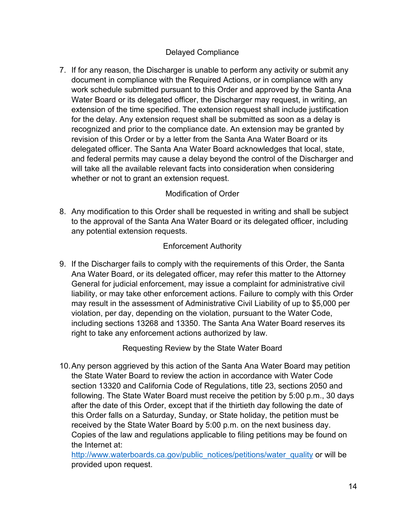# Delayed Compliance

7. If for any reason, the Discharger is unable to perform any activity or submit any document in compliance with the Required Actions, or in compliance with any work schedule submitted pursuant to this Order and approved by the Santa Ana Water Board or its delegated officer, the Discharger may request, in writing, an extension of the time specified. The extension request shall include justification for the delay. Any extension request shall be submitted as soon as a delay is recognized and prior to the compliance date. An extension may be granted by revision of this Order or by a letter from the Santa Ana Water Board or its delegated officer. The Santa Ana Water Board acknowledges that local, state, and federal permits may cause a delay beyond the control of the Discharger and will take all the available relevant facts into consideration when considering whether or not to grant an extension request.

# Modification of Order

8. Any modification to this Order shall be requested in writing and shall be subject to the approval of the Santa Ana Water Board or its delegated officer, including any potential extension requests.

## Enforcement Authority

9. If the Discharger fails to comply with the requirements of this Order, the Santa Ana Water Board, or its delegated officer, may refer this matter to the Attorney General for judicial enforcement, may issue a complaint for administrative civil liability, or may take other enforcement actions. Failure to comply with this Order may result in the assessment of Administrative Civil Liability of up to \$5,000 per violation, per day, depending on the violation, pursuant to the Water Code, including sections 13268 and 13350. The Santa Ana Water Board reserves its right to take any enforcement actions authorized by law.

Requesting Review by the State Water Board

10.Any person aggrieved by this action of the Santa Ana Water Board may petition the State Water Board to review the action in accordance with Water Code section 13320 and California Code of Regulations, title 23, sections 2050 and following. The State Water Board must receive the petition by 5:00 p.m., 30 days after the date of this Order, except that if the thirtieth day following the date of this Order falls on a Saturday, Sunday, or State holiday, the petition must be received by the State Water Board by 5:00 p.m. on the next business day. Copies of the law and regulations applicable to filing petitions may be found on the Internet at:

[http://www.waterboards.ca.gov/public\\_notices/petitions/water\\_quality](http://www.waterboards.ca.gov/public_notices/petitions/water_quality) or will be provided upon request.